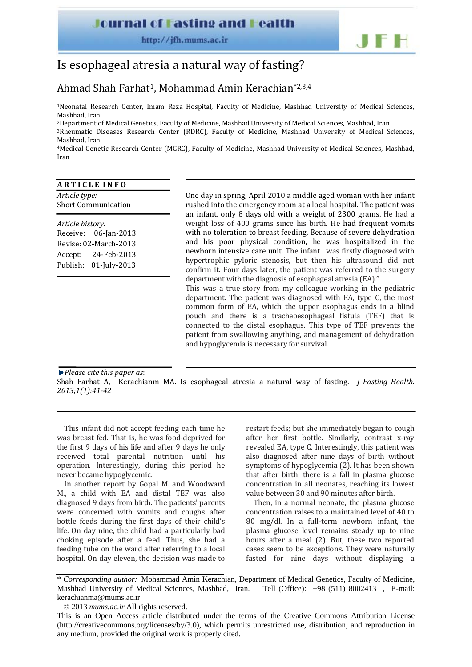### **Journal of Fasting and Health**

http://jfh.mums.ac.ir



# Is esophageal atresia a natural way of fasting?

## Ahmad Shah Farhat1, Mohammad Amin Kerachian\*2,3,4

1Neonatal Research Center, Imam Reza Hospital, Faculty of Medicine, Mashhad University of Medical Sciences, Mashhad, Iran

2Department of Medical Genetics, Faculty of Medicine, Mashhad University of Medical Sciences, Mashhad, Iran 3Rheumatic Diseases Research Center (RDRC), Faculty of Medicine, Mashhad University of Medical Sciences,

Mashhad, Iran 4Medical Genetic Research Center (MGRC), Faculty of Medicine, Mashhad University of Medical Sciences, Mashhad, Iran

#### **A R T I C L E I N F O**

*Article type:* Short Communication

*Article history:* Receive: 06‐Jan‐2013 Revise: 02‐March‐2013 Accept: 24‐Feb‐2013 Publish: 01‐July‐2013 One day in spring, April 2010 a middle aged woman with her infant rushed into the emergency room at a local hospital. The patient was an infant, only 8 days old with a weight of 2300 grams. He had a weight loss of 400 grams since his birth. He had frequent vomits with no toleration to breast feeding. Because of severe dehydration and his poor physical condition, he was hospitalized in the newborn intensive care unit. The infant was firstly diagnosed with hypertrophic pyloric stenosis, but then his ultrasound did not confirm it. Four days later, the patient was referred to the surgery department with the diagnosis of esophageal atresia (EA)."

This was a true story from my colleague working in the pediatric department. The patient was diagnosed with EA, type C, the most common form of EA, which the upper esophagus ends in a blind pouch and there is a tracheoesophageal fistula (TEF) that is connected to the distal esophagus. This type of TEF prevents the patient from swallowing anything, and management of dehydration and hypoglycemia is necessary for survival.

*Please cite this paper as*:

*.*

Shah Farhat A, Kerachianm MA. Is esophageal atresia a natural way of fasting. *J Fasting Health. 2013;1(1):4142*

This infant did not accept feeding each time he was breast fed. That is, he was food‐deprived for the first 9 days of his life and after 9 days he only received total parental nutrition until his operation. Interestingly, during this period he never became hypoglycemic.

In another report by Gopal M. and Woodward M., a child with EA and distal TEF was also diagnosed 9 days from birth. The patients' parents were concerned with vomits and coughs after bottle feeds during the first days of their child's life. On day nine, the child had a particularly bad choking episode after a feed. Thus, she had a feeding tube on the ward after referring to a local hospital. On day eleven, the decision was made to

restart feeds; but she immediately began to cough after her first bottle. Similarly, contrast x‐ray revealed EA, type C. Interestingly, this patient was also diagnosed after nine days of birth without symptoms of hypoglycemia (2). It has been shown that after birth, there is a fall in plasma glucose concentration in all neonates, reaching its lowest value between 30 and 90 minutes after birth.

Then, in a normal neonate, the plasma glucose concentration raises to a maintained level of 40 to 80 mg/dl. In a full‐term newborn infant, the plasma glucose level remains steady up to nine hours after a meal (2). But, these two reported cases seem to be exceptions. They were naturally fasted for nine days without displaying a

<sup>\*</sup> *Corresponding author:* Mohammad Amin Kerachian, Department of Medical Genetics, Faculty of Medicine, Mashhad University of Medical Sciences, Mashhad, Iran. Tell (Office): +98 (511) 8002413 , E-mail: kerachianma@mums.ac.ir

<sup>© 2013</sup> *mums.ac.ir* All rights reserved.

This is an Open Access article distributed under the terms of the Creative Commons Attribution License (http://creativecommons.org/licenses/by/3.0), which permits unrestricted use, distribution, and reproduction in any medium, provided the original work is properly cited.